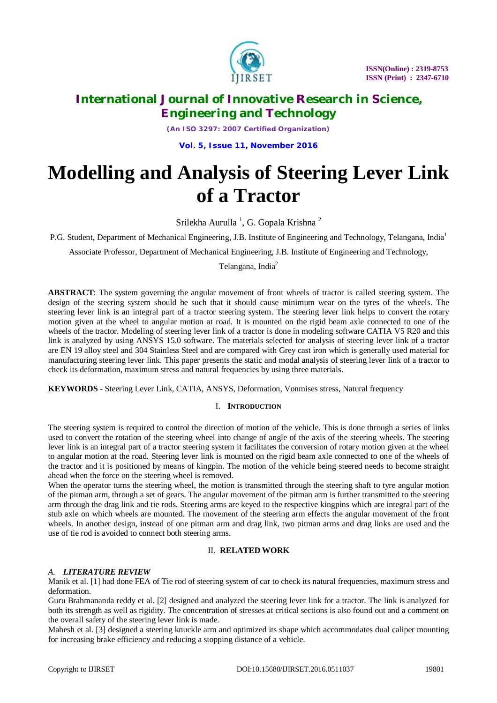

*(An ISO 3297: 2007 Certified Organization)*

**Vol. 5, Issue 11, November 2016**

# **Modelling and Analysis of Steering Lever Link of a Tractor**

Srilekha Aurulla<sup>1</sup>, G. Gopala Krishna<sup>2</sup>

P.G. Student, Department of Mechanical Engineering, J.B. Institute of Engineering and Technology, Telangana, India<sup>1</sup>

Associate Professor, Department of Mechanical Engineering, J.B. Institute of Engineering and Technology,

Telangana, India<sup>2</sup>

**ABSTRACT**: The system governing the angular movement of front wheels of tractor is called steering system. The design of the steering system should be such that it should cause minimum wear on the tyres of the wheels. The steering lever link is an integral part of a tractor steering system. The steering lever link helps to convert the rotary motion given at the wheel to angular motion at road. It is mounted on the rigid beam axle connected to one of the wheels of the tractor. Modeling of steering lever link of a tractor is done in modeling software CATIA V5 R20 and this link is analyzed by using ANSYS 15.0 software. The materials selected for analysis of steering lever link of a tractor are EN 19 alloy steel and 304 Stainless Steel and are compared with Grey cast iron which is generally used material for manufacturing steering lever link. This paper presents the static and modal analysis of steering lever link of a tractor to check its deformation, maximum stress and natural frequencies by using three materials.

**KEYWORDS -** Steering Lever Link, CATIA, ANSYS, Deformation, Vonmises stress, Natural frequency

### I. **INTRODUCTION**

The steering system is required to control the direction of motion of the vehicle. This is done through a series of links used to convert the rotation of the steering wheel into change of angle of the axis of the steering wheels. The steering lever link is an integral part of a tractor steering system it facilitates the conversion of rotary motion given at the wheel to angular motion at the road. Steering lever link is mounted on the rigid beam axle connected to one of the wheels of the tractor and it is positioned by means of kingpin. The motion of the vehicle being steered needs to become straight ahead when the force on the steering wheel is removed.

When the operator turns the steering wheel, the motion is transmitted through the steering shaft to tyre angular motion of the pitman arm, through a set of gears. The angular movement of the pitman arm is further transmitted to the steering arm through the drag link and tie rods. Steering arms are keyed to the respective kingpins which are integral part of the stub axle on which wheels are mounted. The movement of the steering arm effects the angular movement of the front wheels. In another design, instead of one pitman arm and drag link, two pitman arms and drag links are used and the use of tie rod is avoided to connect both steering arms.

### II. **RELATED WORK**

### *A. LITERATURE REVIEW*

Manik et al. [1] had done FEA of Tie rod of steering system of car to check its natural frequencies, maximum stress and deformation.

Guru Brahmananda reddy et al. [2] designed and analyzed the steering lever link for a tractor. The link is analyzed for both its strength as well as rigidity. The concentration of stresses at critical sections is also found out and a comment on the overall safety of the steering lever link is made.

Mahesh et al. [3] designed a steering knuckle arm and optimized its shape which accommodates dual caliper mounting for increasing brake efficiency and reducing a stopping distance of a vehicle.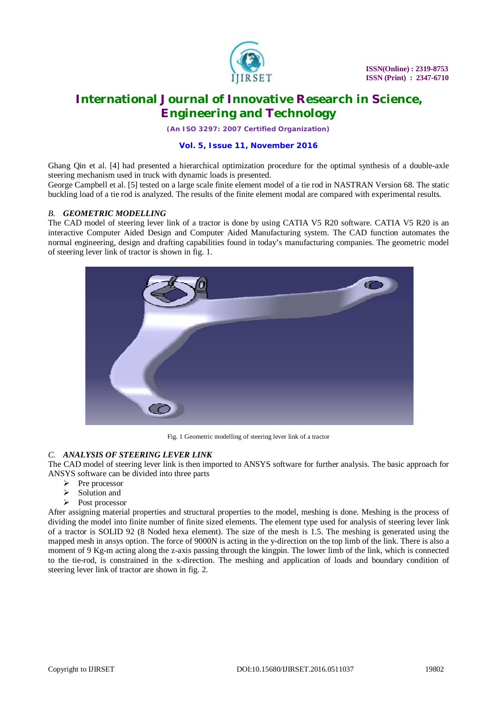

*(An ISO 3297: 2007 Certified Organization)*

### **Vol. 5, Issue 11, November 2016**

Ghang Qin et al. [4] had presented a hierarchical optimization procedure for the optimal synthesis of a double-axle steering mechanism used in truck with dynamic loads is presented.

George Campbell et al. [5] tested on a large scale finite element model of a tie rod in NASTRAN Version 68. The static buckling load of a tie rod is analyzed. The results of the finite element modal are compared with experimental results.

#### *B. GEOMETRIC MODELLING*

The CAD model of steering lever link of a tractor is done by using CATIA V5 R20 software. CATIA V5 R20 is an interactive Computer Aided Design and Computer Aided Manufacturing system. The CAD function automates the normal engineering, design and drafting capabilities found in today's manufacturing companies. The geometric model of steering lever link of tractor is shown in fig. 1.



Fig. 1 Geometric modelling of steering lever link of a tractor

### *C. ANALYSIS OF STEERING LEVER LINK*

The CAD model of steering lever link is then imported to ANSYS software for further analysis. The basic approach for ANSYS software can be divided into three parts

- Pre processor
- $\geq$  Solution and<br> $\geq$  Post processes
- Post processor

After assigning material properties and structural properties to the model, meshing is done. Meshing is the process of dividing the model into finite number of finite sized elements. The element type used for analysis of steering lever link of a tractor is SOLID 92 (8 Noded hexa element). The size of the mesh is 1.5. The meshing is generated using the mapped mesh in ansys option. The force of 9000N is acting in the y-direction on the top limb of the link. There is also a moment of 9 Kg-m acting along the z-axis passing through the kingpin. The lower limb of the link, which is connected to the tie-rod, is constrained in the x-direction. The meshing and application of loads and boundary condition of steering lever link of tractor are shown in fig. 2.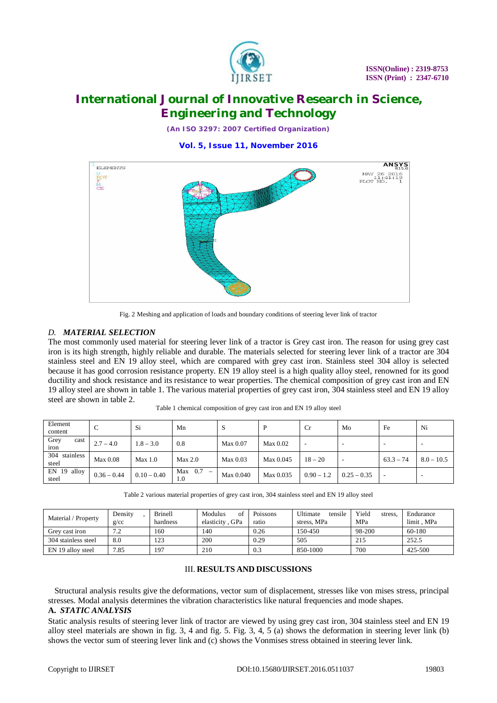

*(An ISO 3297: 2007 Certified Organization)*

**Vol. 5, Issue 11, November 2016**



Fig. 2 Meshing and application of loads and boundary conditions of steering lever link of tractor

### *D. MATERIAL SELECTION*

The most commonly used material for steering lever link of a tractor is Grey cast iron. The reason for using grey cast iron is its high strength, highly reliable and durable. The materials selected for steering lever link of a tractor are 304 stainless steel and EN 19 alloy steel, which are compared with grey cast iron. Stainless steel 304 alloy is selected because it has good corrosion resistance property. EN 19 alloy steel is a high quality alloy steel, renowned for its good ductility and shock resistance and its resistance to wear properties. The chemical composition of grey cast iron and EN 19 alloy steel are shown in table 1. The various material properties of grey cast iron, 304 stainless steel and EN 19 alloy steel are shown in table 2.

| Element<br>content        | ╰             | Si            | Mn               | ъJ        | Þ         | $_{\rm Cr}$  | Mo            | Fe          | Ni           |
|---------------------------|---------------|---------------|------------------|-----------|-----------|--------------|---------------|-------------|--------------|
| Grey<br>cast<br>iron      | $2.7 - 4.0$   | $1.8 - 3.0$   | 0.8              | Max 0.07  | Max 0.02  |              |               |             |              |
| 304<br>stainless<br>steel | Max 0.08      | Max 1.0       | Max 2.0          | Max 0.03  | Max 0.045 | $18 - 20$    |               | $63.3 - 74$ | $8.0 - 10.5$ |
| EN 19 alloy<br>steel      | $0.36 - 0.44$ | $0.10 - 0.40$ | $Max$ 0.7<br>1.0 | Max 0.040 | Max 0.035 | $0.90 - 1.2$ | $0.25 - 0.35$ |             |              |

Table 1 chemical composition of grey cast iron and EN 19 alloy steel

| Table 2 various material properties of grey cast iron, 304 stainless steel and EN 19 alloy steel |
|--------------------------------------------------------------------------------------------------|
|                                                                                                  |

| Material / Property | Densitv<br>g/cc | <b>Brinell</b><br>hardness | of<br>Modulus<br>elasticity, GPa | Poissons<br>ratio | tensile<br><b>Ultimate</b><br>stress. MPa | Yield<br>stress,<br>MPa | Endurance<br>limit . MPa |
|---------------------|-----------------|----------------------------|----------------------------------|-------------------|-------------------------------------------|-------------------------|--------------------------|
| Grev cast iron      | 70<br>ے .       | 160                        | 140                              | 0.26              | 150-450                                   | 98-200                  | 60-180                   |
| 304 stainless steel | 8.0             | 123                        | 200                              | 0.29              | 505                                       | 215                     | 252.5                    |
| EN 19 alloy steel   | 7.85            | 197                        | 210                              | 0.3               | 850-1000                                  | 700                     | 425-500                  |

#### III. **RESULTS AND DISCUSSIONS**

 Structural analysis results give the deformations, vector sum of displacement, stresses like von mises stress, principal stresses. Modal analysis determines the vibration characteristics like natural frequencies and mode shapes.

### **A.** *STATIC ANALYSIS*

Static analysis results of steering lever link of tractor are viewed by using grey cast iron, 304 stainless steel and EN 19 alloy steel materials are shown in fig. 3, 4 and fig. 5. Fig. 3, 4, 5 (a) shows the deformation in steering lever link (b) shows the vector sum of steering lever link and (c) shows the Vonmises stress obtained in steering lever link.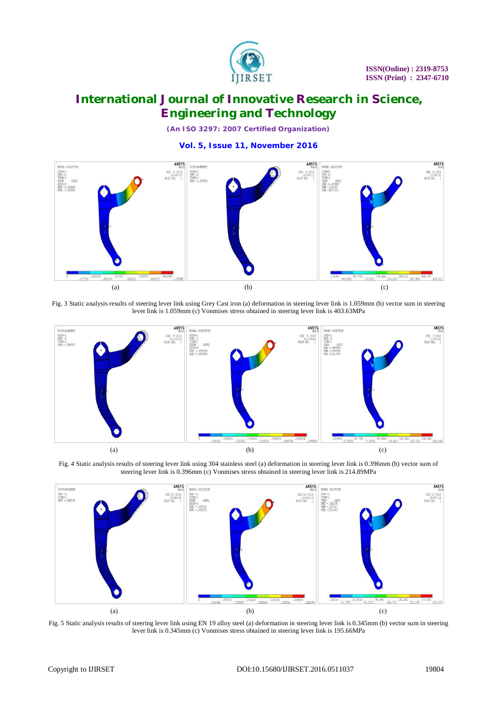

*(An ISO 3297: 2007 Certified Organization)*

**Vol. 5, Issue 11, November 2016**



Fig. 3 Static analysis results of steering lever link using Grey Cast iron (a) deformation in steering lever link is 1.059mm (b) vector sum in steering lever link is 1.059mm (c) Vonmises stress obtained in steering lever link is 403.63MPa



Fig. 4 Static analysis results of steering lever link using 304 stainless steel (a) deformation in steering lever link is 0.396mm (b) vector sum of steering lever link is 0.396mm (c) Vonmises stress obtained in steering lever link is 214.89MPa



Fig. 5 Static analysis results of steering lever link using EN 19 alloy steel (a) deformation in steering lever link is 0.345mm (b) vector sum in steering lever link is 0.345mm (c) Vonmises stress obtained in steering lever link is 195.66MPa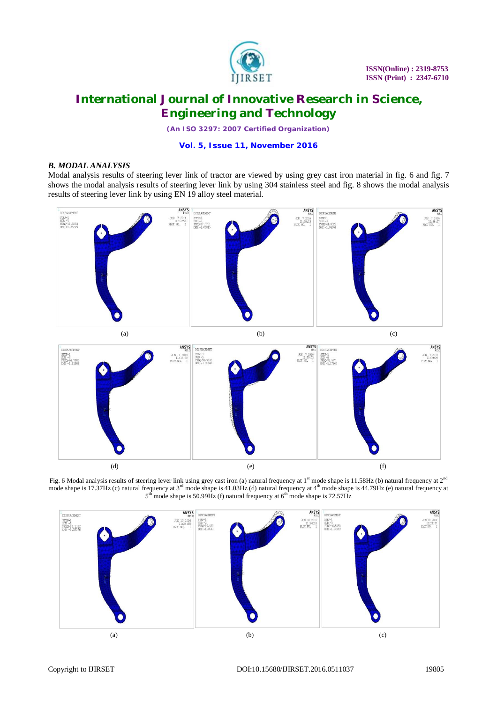

*(An ISO 3297: 2007 Certified Organization)*

### **Vol. 5, Issue 11, November 2016**

### *B. MODAL ANALYSIS*

Modal analysis results of steering lever link of tractor are viewed by using grey cast iron material in fig. 6 and fig. 7 shows the modal analysis results of steering lever link by using 304 stainless steel and fig. 8 shows the modal analysis results of steering lever link by using EN 19 alloy steel material.



Fig. 6 Modal analysis results of steering lever link using grey cast iron (a) natural frequency at  $1<sup>st</sup>$  mode shape is 11.58Hz (b) natural frequency at  $2<sup>nd</sup>$ mode shape is  $17.37$ Hz (c) natural frequency at  $3<sup>rd</sup>$  mode shape is  $41.03$ Hz (d) natural frequency at  $4<sup>th</sup>$  mode shape is  $44.79$ Hz (e) natural frequency at  $6<sup>th</sup>$  mode shape is  $44.79$ Hz (e) natural frequ  $5<sup>th</sup>$  mode shape is 50.99Hz (f) natural frequency at  $6<sup>th</sup>$  mode shape is 72.57Hz

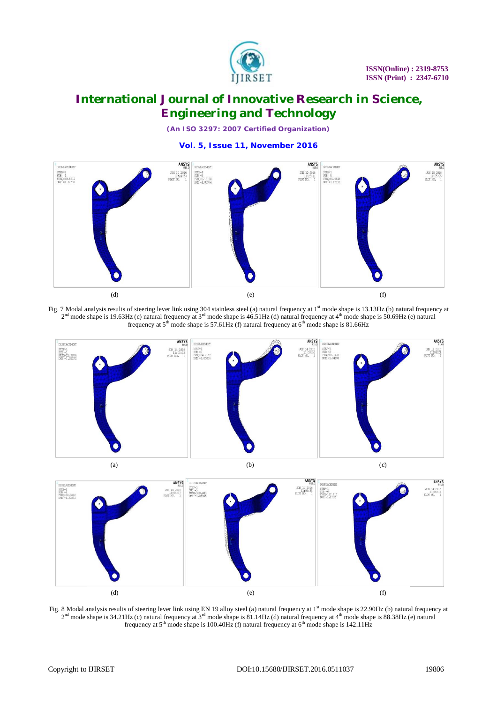

*(An ISO 3297: 2007 Certified Organization)*

**Vol. 5, Issue 11, November 2016**



Fig. 7 Modal analysis results of steering lever link using 304 stainless steel (a) natural frequency at 1<sup>st</sup> mode shape is 13.13Hz (b) natural frequency at  $2<sup>nd</sup>$  mode shape is 19.63Hz (c) natural frequency at 3<sup>rd</sup> mode shape is 46.51Hz (d) natural frequency at 4<sup>th</sup> mode shape is 50.69Hz (e) natural frequency at  $5<sup>th</sup>$  mode shape is 57.61Hz (f) natural frequency at  $6<sup>th</sup>$  mode shape is 81.66Hz



(a)  $(b)$  (c)



Fig. 8 Modal analysis results of steering lever link using EN 19 alloy steel (a) natural frequency at  $1<sup>st</sup>$  mode shape is 22.90Hz (b) natural frequency at  $2<sup>nd</sup>$  mode shape is 34.21Hz (c) natural frequency at 3<sup>rd</sup> mode shape is 81.14Hz (d) natural frequency at 4<sup>th</sup> mode shape is 88.38Hz (e) natural frequency at  $5<sup>th</sup>$  mode shape is 100.40Hz (f) natural frequency at  $6<sup>th</sup>$  mode shape is 142.11Hz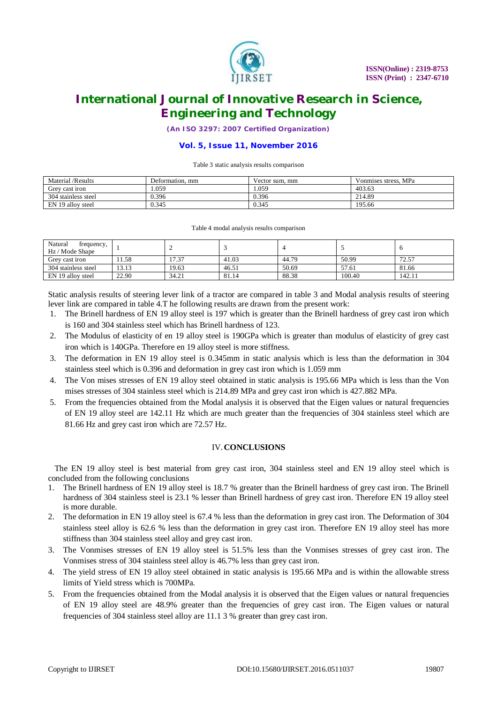

*(An ISO 3297: 2007 Certified Organization)*

### **Vol. 5, Issue 11, November 2016**

#### Table 3 static analysis results comparison

| Material /Results   | Deformation, mm | Vector sum, mm | Vonmises stress, MPa |
|---------------------|-----------------|----------------|----------------------|
| Grey cast iron      | 1.059           | .059           | 403.63               |
| 304 stainless steel | 0.396           | 0.396          | 214.89               |
| EN 19 alloy steel   | 0.345           | 0.345          | 195.66               |

#### Table 4 modal analysis results comparison

| Natural<br>frequency,<br>Hz / Mode Shape |       |                |       |       |        |        |
|------------------------------------------|-------|----------------|-------|-------|--------|--------|
| Grev cast iron                           | 1.58  | $-22$<br>1/0.5 | 41.03 | 44.79 | 50.99  | 72.57  |
| 304 stainless steel                      | 13.13 | 19.63          | 46.51 | 50.69 | 57.61  | 81.66  |
| EN 19 alloy steel                        | 22.90 | 34.21          | 81.14 | 88.38 | 100.40 | 142.11 |

Static analysis results of steering lever link of a tractor are compared in table 3 and Modal analysis results of steering lever link are compared in table 4.T he following results are drawn from the present work:

- 1. The Brinell hardness of EN 19 alloy steel is 197 which is greater than the Brinell hardness of grey cast iron which is 160 and 304 stainless steel which has Brinell hardness of 123.
- 2. The Modulus of elasticity of en 19 alloy steel is 190GPa which is greater than modulus of elasticity of grey cast iron which is 140GPa. Therefore en 19 alloy steel is more stiffness.
- 3. The deformation in EN 19 alloy steel is 0.345mm in static analysis which is less than the deformation in 304 stainless steel which is 0.396 and deformation in grey cast iron which is 1.059 mm
- 4. The Von mises stresses of EN 19 alloy steel obtained in static analysis is 195.66 MPa which is less than the Von mises stresses of 304 stainless steel which is 214.89 MPa and grey cast iron which is 427.882 MPa.
- 5. From the frequencies obtained from the Modal analysis it is observed that the Eigen values or natural frequencies of EN 19 alloy steel are 142.11 Hz which are much greater than the frequencies of 304 stainless steel which are 81.66 Hz and grey cast iron which are 72.57 Hz.

#### IV.**CONCLUSIONS**

 The EN 19 alloy steel is best material from grey cast iron, 304 stainless steel and EN 19 alloy steel which is concluded from the following conclusions

- 1. The Brinell hardness of EN 19 alloy steel is 18.7 % greater than the Brinell hardness of grey cast iron. The Brinell hardness of 304 stainless steel is 23.1 % lesser than Brinell hardness of grey cast iron. Therefore EN 19 alloy steel is more durable.
- 2. The deformation in EN 19 alloy steel is 67.4 % less than the deformation in grey cast iron. The Deformation of 304 stainless steel alloy is 62.6 % less than the deformation in grey cast iron. Therefore EN 19 alloy steel has more stiffness than 304 stainless steel alloy and grey cast iron.
- 3. The Vonmises stresses of EN 19 alloy steel is 51.5% less than the Vonmises stresses of grey cast iron. The Vonmises stress of 304 stainless steel alloy is 46.7% less than grey cast iron.
- 4. The yield stress of EN 19 alloy steel obtained in static analysis is 195.66 MPa and is within the allowable stress limits of Yield stress which is 700MPa.
- 5. From the frequencies obtained from the Modal analysis it is observed that the Eigen values or natural frequencies of EN 19 alloy steel are 48.9% greater than the frequencies of grey cast iron. The Eigen values or natural frequencies of 304 stainless steel alloy are 11.1 3 % greater than grey cast iron.